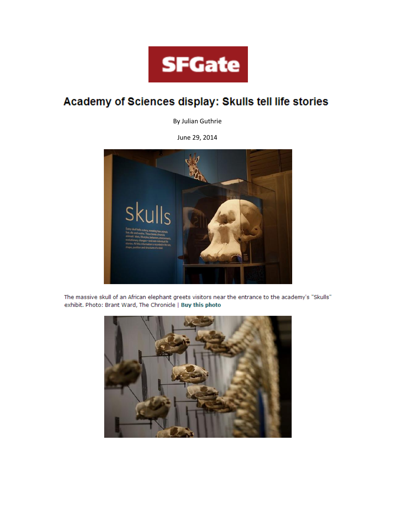

## Academy of Sciences display: Skulls tell life stories

By Julian Guthrie

June 29, 2014



The massive skull of an African elephant greets visitors near the entrance to the academy's "Skulls" exhibit. Photo: Brant Ward, The Chronicle | Buy this photo

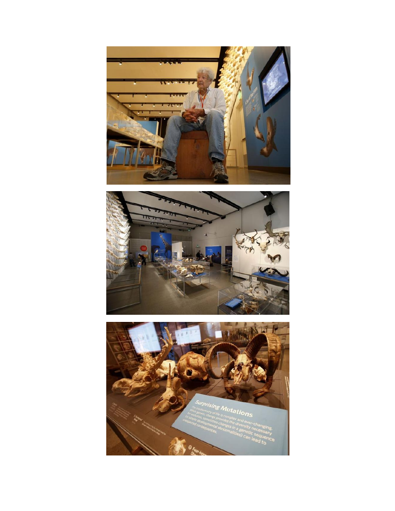



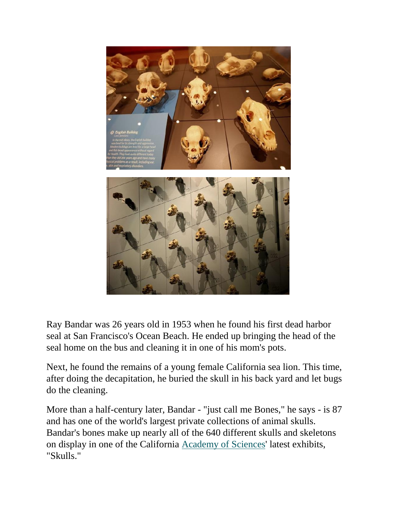

Ray Bandar was 26 years old in 1953 when he found his first dead harbor seal at San Francisco's Ocean Beach. He ended up bringing the head of the seal home on the bus and cleaning it in one of his mom's pots.

Next, he found the remains of a young female California sea lion. This time, after doing the decapitation, he buried the skull in his back yard and let bugs do the cleaning.

More than a half-century later, Bandar - "just call me Bones," he says - is 87 and has one of the world's largest private collections of animal skulls. Bandar's bones make up nearly all of the 640 different skulls and skeletons on display in one of the California [Academy](http://www.sfgate.com/?controllerName=search&action=search&channel=science&search=1&inlineLink=1&query=%22Academy+of+Sciences%22) of Sciences' latest exhibits, "Skulls."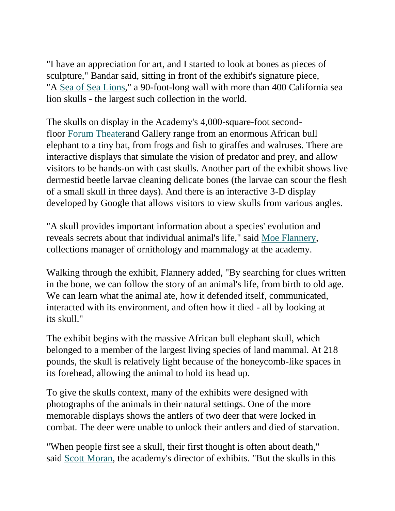"I have an appreciation for art, and I started to look at bones as pieces of sculpture," Bandar said, sitting in front of the exhibit's signature piece, "A Sea of Sea [Lions,](http://www.sfgate.com/?controllerName=search&action=search&channel=science&search=1&inlineLink=1&query=%22Sea+of+Sea+Lions%22)" a 90-foot-long wall with more than 400 California sea lion skulls - the largest such collection in the world.

The skulls on display in the Academy's 4,000-square-foot secondfloor Forum [Theatera](http://www.sfgate.com/?controllerName=search&action=search&channel=science&search=1&inlineLink=1&query=%22Forum+Theater%22)nd Gallery range from an enormous African bull elephant to a tiny bat, from frogs and fish to giraffes and walruses. There are interactive displays that simulate the vision of predator and prey, and allow visitors to be hands-on with cast skulls. Another part of the exhibit shows live dermestid beetle larvae cleaning delicate bones (the larvae can scour the flesh of a small skull in three days). And there is an interactive 3-D display developed by Google that allows visitors to view skulls from various angles.

"A skull provides important information about a species' evolution and reveals secrets about that individual animal's life," said Moe [Flannery,](http://www.sfgate.com/?controllerName=search&action=search&channel=science&search=1&inlineLink=1&query=%22Moe+Flannery%22) collections manager of ornithology and mammalogy at the academy.

Walking through the exhibit, Flannery added, "By searching for clues written in the bone, we can follow the story of an animal's life, from birth to old age. We can learn what the animal ate, how it defended itself, communicated, interacted with its environment, and often how it died - all by looking at its skull."

The exhibit begins with the massive African bull elephant skull, which belonged to a member of the largest living species of land mammal. At 218 pounds, the skull is relatively light because of the honeycomb-like spaces in its forehead, allowing the animal to hold its head up.

To give the skulls context, many of the exhibits were designed with photographs of the animals in their natural settings. One of the more memorable displays shows the antlers of two deer that were locked in combat. The deer were unable to unlock their antlers and died of starvation.

"When people first see a skull, their first thought is often about death," said Scott [Moran,](http://www.sfgate.com/?controllerName=search&action=search&channel=science&search=1&inlineLink=1&query=%22Scott+Moran%22) the academy's director of exhibits. "But the skulls in this